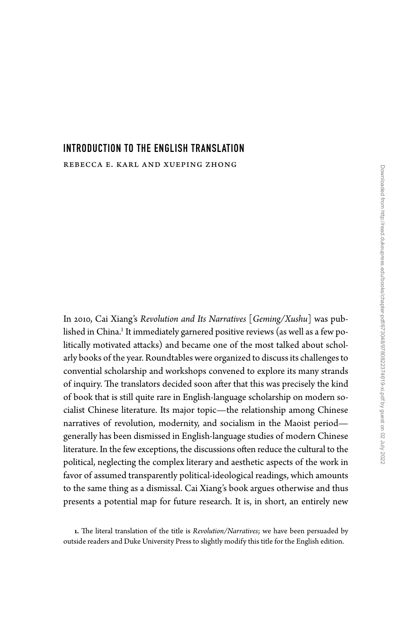# [INTRODUCTION TO THE ENGLISH TRANSLATION](#page--1-0)

Rebecca E. Karl and Xueping Zhong

In 2010, Cai Xiang's *Revolution and Its Narratives* [*Geming/ Xushu*] was published in China.<sup>1</sup> It immediately garnered positive reviews (as well as a few politically motivated attacks) and became one of the most talked about scholarly books of the year. Roundtables were organized to discuss its challenges to convential scholarship and workshops convened to explore its many strands of inquiry. The translators decided soon after that this was precisely the kind of book that is still quite rare in English- language scholarship on modern socialist Chinese literature. Its major topic—the relationship among Chinese narratives of revolution, modernity, and socialism in the Maoist period generally has been dismissed in English- language studies of modern Chinese literature. In the few exceptions, the discussions often reduce the cultural to the political, neglecting the complex literary and aesthetic aspects of the work in favor of assumed transparently political- ideological readings, which amounts to the same thing as a dismissal. Cai Xiang's book argues otherwise and thus presents a potential map for future research. It is, in short, an entirely new

<sup>1.</sup> The literal translation of the title is *Revolution/ Narratives*; we have been persuaded by outside readers and Duke University Press to slightly modify this title for the English edition.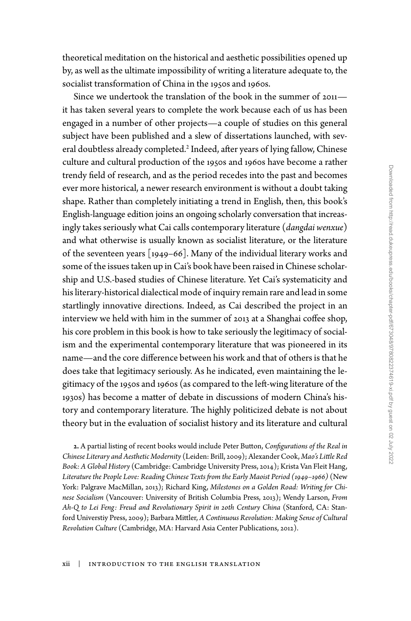theoretical meditation on the historical and aesthetic possibilities opened up by, as well as the ultimate impossibility of writing a literature adequate to, the socialist transformation of China in the 1950s and 1960s.

Since we undertook the translation of the book in the summer of 2011 it has taken several years to complete the work because each of us has been engaged in a number of other projects—a couple of studies on this general subject have been published and a slew of dissertations launched, with several doubtless already completed.<sup>2</sup> Indeed, after years of lying fallow, Chinese culture and cultural production of the 1950s and 1960s have become a rather trendy field of research, and as the period recedes into the past and becomes ever more historical, a newer research environment is without a doubt taking shape. Rather than completely initiating a trend in English, then, this book's English- language edition joins an ongoing scholarly conversation that increasingly takes seriously what Cai calls contemporary literature (*dangdai wenxue*) and what otherwise is usually known as socialist literature, or the literature of the seventeen years [1949-66]. Many of the individual literary works and some of the issues taken up in Cai's book have been raised in Chinese scholarship and U.S.-based studies of Chinese literature. Yet Cai's systematicity and his literary-historical dialectical mode of inquiry remain rare and lead in some startlingly innovative directions. Indeed, as Cai described the project in an interview we held with him in the summer of 2013 at a Shanghai coffee shop, his core problem in this book is how to take seriously the legitimacy of socialism and the experimental contemporary literature that was pioneered in its name—and the core difference between his work and that of others is that he does take that legitimacy seriously. As he indicated, even maintaining the legitimacy of the 1950s and 1960s (as compared to the left- wing literature of the 1930s) has become a matter of debate in discussions of modern China's history and contemporary literature. The highly politicized debate is not about theory but in the evaluation of socialist history and its literature and cultural

2. A partial listing of recent books would include Peter Button, *Configurations of the Real in Chinese Literary and Aesthetic Modernity* (Leiden: Brill, 2009); Alexander Cook, *Mao's Little Red Book: A Global History* (Cambridge: Cambridge University Press, 2014); Krista Van Fleit Hang, *Literature the People Love: Reading Chinese Texts from the Early Maoist Period (1949– 1966)* (New York: Palgrave MacMillan, 2013); Richard King, *Milestones on a Golden Road: Writing for Chinese Socialism* (Vancouver: University of British Columbia Press, 2013); Wendy Larson, *From Ah- Q to Lei Feng: Freud and Revolutionary Spirit in 20th Century China* (Stanford, CA: Stanford Universtiy Press, 2009); Barbara Mittler, *A Continuous Revolution: Making Sense of Cultural Revolution Culture* (Cambridge, MA: Harvard Asia Center Publications, 2012).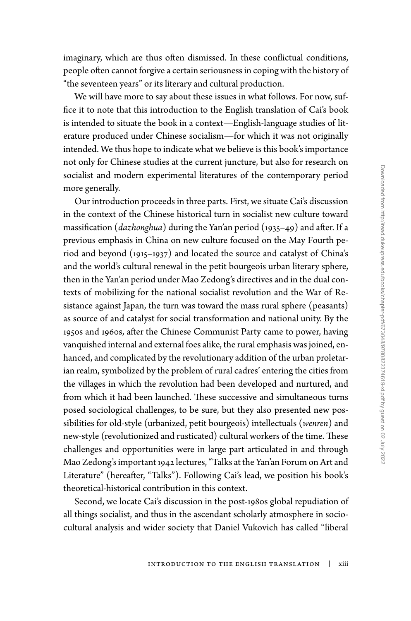imaginary, which are thus often dismissed. In these conflictual conditions, people often cannot forgive a certain seriousness in coping with the history of "the seventeen years" or its literary and cultural production.

We will have more to say about these issues in what follows. For now, suffice it to note that this introduction to the English translation of Cai's book is intended to situate the book in a context—English- language studies of literature produced under Chinese socialism—for which it was not originally intended. We thus hope to indicate what we believe is this book's importance not only for Chinese studies at the current juncture, but also for research on socialist and modern experimental literatures of the contemporary period more generally.

Our introduction proceeds in three parts. First, we situate Cai's discussion in the context of the Chinese historical turn in socialist new culture toward massification (*dazhonghua*) during the Yan'an period (1935–49) and after. If a previous emphasis in China on new culture focused on the May Fourth period and beyond (1915– 1937) and located the source and catalyst of China's and the world's cultural renewal in the petit bourgeois urban literary sphere, then in the Yan'an period under Mao Zedong's directives and in the dual contexts of mobilizing for the national socialist revolution and the War of Resistance against Japan, the turn was toward the mass rural sphere (peasants) as source of and catalyst for social transformation and national unity. By the 1950s and 1960s, after the Chinese Communist Party came to power, having vanquished internal and external foes alike, the rural emphasis was joined, enhanced, and complicated by the revolutionary addition of the urban proletarian realm, symbolized by the problem of rural cadres' entering the cities from the villages in which the revolution had been developed and nurtured, and from which it had been launched. These successive and simultaneous turns posed sociological challenges, to be sure, but they also presented new possibilities for old- style (urbanized, petit bourgeois) intellectuals (*wenren*) and new- style (revolutionized and rusticated) cultural workers of the time. These challenges and opportunities were in large part articulated in and through Mao Zedong's important 1942 lectures, "Talks at the Yan'an Forum on Art and Literature" (hereafter, "Talks"). Following Cai's lead, we position his book's theoretical- historical contribution in this context.

Second, we locate Cai's discussion in the post-1980s global repudiation of all things socialist, and thus in the ascendant scholarly atmosphere in sociocultural analysis and wider society that Daniel Vukovich has called "liberal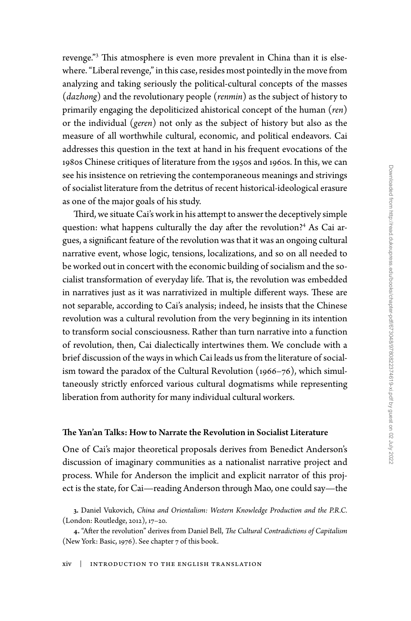revenge."3 This atmosphere is even more prevalent in China than it is elsewhere. "Liberal revenge," in this case, resides most pointedly in the move from analyzing and taking seriously the political- cultural concepts of the masses (*dazhong*) and the revolutionary people (*renmin*) as the subject of history to primarily engaging the depoliticized ahistorical concept of the human (*ren*) or the individual (*geren*) not only as the subject of history but also as the measure of all worthwhile cultural, economic, and political endeavors. Cai addresses this question in the text at hand in his frequent evocations of the 1980s Chinese critiques of literature from the 1950s and 1960s. In this, we can see his insistence on retrieving the contemporaneous meanings and strivings of socialist literature from the detritus of recent historical- ideological erasure as one of the major goals of his study.

Third, we situate Cai's work in his attempt to answer the deceptively simple question: what happens culturally the day after the revolution?<sup>4</sup> As Cai argues, a significant feature of the revolution was that it was an ongoing cultural narrative event, whose logic, tensions, localizations, and so on all needed to be worked out in concert with the economic building of socialism and the socialist transformation of everyday life. That is, the revolution was embedded in narratives just as it was narrativized in multiple different ways. These are not separable, according to Cai's analysis; indeed, he insists that the Chinese revolution was a cultural revolution from the very beginning in its intention to transform social consciousness. Rather than turn narrative into a function of revolution, then, Cai dialectically intertwines them. We conclude with a brief discussion of the ways in which Cai leads us from the literature of socialism toward the paradox of the Cultural Revolution  $(1966 - 76)$ , which simultaneously strictly enforced various cultural dogmatisms while representing liberation from authority for many individual cultural workers.

#### The Yan'an Talks: How to Narrate the Revolution in Socialist Literature

One of Cai's major theoretical proposals derives from Benedict Anderson's discussion of imaginary communities as a nationalist narrative project and process. While for Anderson the implicit and explicit narrator of this project is the state, for Cai—reading Anderson through Mao, one could say—the

<sup>3.</sup> Daniel Vukovich, *China and Orientalism: Western Knowledge Production and the P.R.C.* (London: Routledge, 2012), 17– 20.

<sup>4.</sup> "After the revolution" derives from Daniel Bell, *The Cultural Contradictions of Capitalism*  (New York: Basic, 1976). See [chapter 7](#page--1-0) of this book.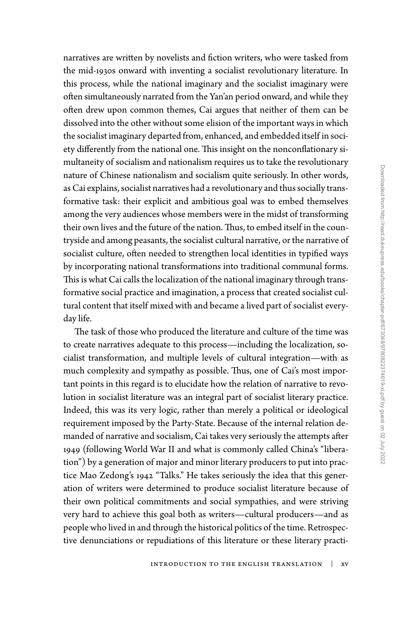narratives are written by novelists and fiction writers, who were tasked from the mid-1930s onward with inventing a socialist revolutionary literature. In this process, while the national imaginary and the socialist imaginary were often simultaneously narrated from the Yan'an period onward, and while they often drew upon common themes, Cai argues that neither of them can be dis solved into the other without some elision of the important ways in which the socialist imaginary departed from, enhanced, and embedded itself in society differently from the national one. This insight on the nonconflationary simultaneity of socialism and nationalism requires us to take the revolutionary nature of Chinese nationalism and socialism quite seriously. In other words, as Cai explains, socialist narratives had a revolutionary and thus socially transformative task: their explicit and ambitious goal was to embed themselves among the very audiences whose members were in the midst of transforming their own lives and the future of the nation. Thus, to embed itself in the countryside and among peasants, the socialist cultural narrative, or the narrative of socialist culture, often needed to strengthen local identities in typified ways by incorporating national transformations into traditional communal forms. This is what Cai calls the localization of the national imaginary through transformative social practice and imagination, a process that created socialist cultural content that itself mixed with and became a lived part of socialist everyday life.

The task of those who produced the literature and culture of the time was to create narratives adequate to this process—including the localization, socialist transformation, and multiple levels of cultural integration—with as much complexity and sympathy as possible. Thus, one of Cai's most important points in this regard is to elucidate how the relation of narrative to revolution in socialist literature was an integral part of socialist literary practice. Indeed, this was its very logic, rather than merely a political or ideological requirement imposed by the Party- State. Because of the internal relation demanded of narrative and socialism, Cai takes very seriously the attempts after 1949 (following World War II and what is commonly called China's "liberation") by a generation of major and minor literary producers to put into practice Mao Zedong's 1942 "Talks." He takes seriously the idea that this generation of writers were determined to produce socialist literature because of their own political commitments and social sympathies, and were striving very hard to achieve this goal both as writers—cultural producers—and as people who lived in and through the historical politics of the time. Retrospective denunciations or repudiations of this literature or these literary practi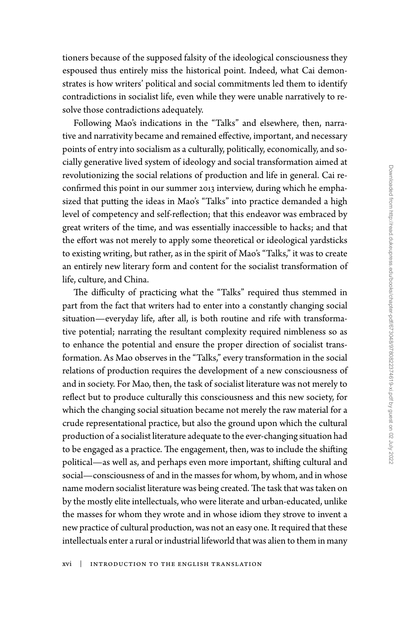tioners because of the supposed falsity of the ideological consciousness they espoused thus entirely miss the historical point. Indeed, what Cai demonstrates is how writers' political and social commitments led them to identify contradictions in socialist life, even while they were unable narratively to resolve those contradictions adequately.

Following Mao's indications in the "Talks" and elsewhere, then, narrative and narrativity became and remained effective, important, and necessary points of entry into socialism as a culturally, politically, economically, and socially generative lived system of ideology and social transformation aimed at revolutionizing the social relations of production and life in general. Cai reconfirmed this point in our summer 2013 interview, during which he emphasized that putting the ideas in Mao's "Talks" into practice demanded a high level of competency and self-reflection; that this endeavor was embraced by great writers of the time, and was essentially inaccessible to hacks; and that the effort was not merely to apply some theoretical or ideological yardsticks to existing writing, but rather, as in the spirit of Mao's "Talks," it was to create an entirely new literary form and content for the socialist transformation of life, culture, and China.

The difficulty of practicing what the "Talks" required thus stemmed in part from the fact that writers had to enter into a constantly changing social situation—everyday life, after all, is both routine and rife with transformative potential; narrating the resultant complexity required nimbleness so as to enhance the potential and ensure the proper direction of socialist transformation. As Mao observes in the "Talks," every transformation in the social relations of production requires the development of a new consciousness of and in society. For Mao, then, the task of socialist literature was not merely to reflect but to produce culturally this consciousness and this new society, for which the changing social situation became not merely the raw material for a crude representational practice, but also the ground upon which the cultural production of a socialist literature adequate to the ever- changing situation had to be engaged as a practice. The engagement, then, was to include the shifting political—as well as, and perhaps even more important, shifting cultural and social—consciousness of and in the masses for whom, by whom, and in whose name modern socialist literature was being created. The task that was taken on by the mostly elite intellectuals, who were literate and urban- educated, unlike the masses for whom they wrote and in whose idiom they strove to invent a new practice of cultural production, was not an easy one. It required that these intellectuals enter a rural or industrial lifeworld that was alien to them in many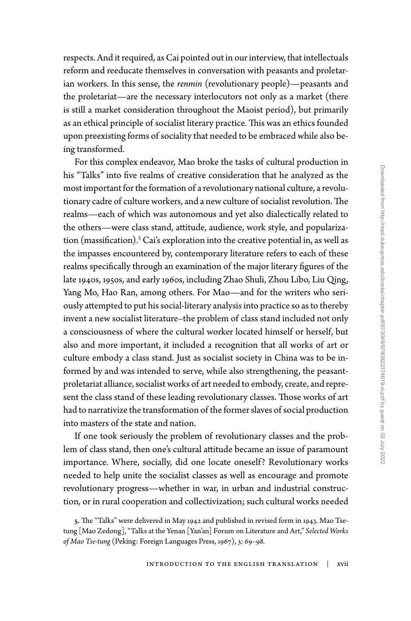respects. And it required, as Cai pointed out in our interview, that intellectuals reform and reeducate themselves in conversation with peasants and proletarian workers. In this sense, the *renmin* (revolutionary people)—peasants and the proletariat—are the necessary interlocutors not only as a market (there is still a market consideration throughout the Maoist period), but primarily as an ethical principle of socialist literary practice. This was an ethics founded upon preexisting forms of sociality that needed to be embraced while also being transformed.

For this complex endeavor, Mao broke the tasks of cultural production in his "Talks" into five realms of creative consideration that he analyzed as the most important for the formation of a revolutionary national culture, a revolutionary cadre of culture workers, and a new culture of socialist revolution. The realms—each of which was autonomous and yet also dialectically related to the others—were class stand, attitude, audience, work style, and popularization (massification).<sup>5</sup> Cai's exploration into the creative potential in, as well as the impasses encountered by, contemporary literature refers to each of these realms specifically through an examination of the major literary figures of the late 1940s, 1950s, and early 1960s, including Zhao Shuli, Zhou Libo, Liu Qing, Yang Mo, Hao Ran, among others. For Mao—and for the writers who seriously attempted to put his social-literary analysis into practice so as to thereby invent a new socialist literature– the problem of class stand included not only a consciousness of where the cultural worker located himself or herself, but also and more important, it included a recognition that all works of art or culture embody a class stand. Just as socialist society in China was to be informed by and was intended to serve, while also strengthening, the peasantproletariat alliance, socialist works of art needed to embody, create, and represent the class stand of these leading revolutionary classes. Those works of art had to narrativize the transformation of the former slaves of social production into masters of the state and nation.

If one took seriously the problem of revolutionary classes and the problem of class stand, then one's cultural attitude became an issue of paramount importance. Where, socially, did one locate oneself? Revolutionary works needed to help unite the socialist classes as well as encourage and promote revolutionary progress—whether in war, in urban and industrial construction, or in rural cooperation and collectivization; such cultural works needed

<sup>5.</sup> The "Talks" were delivered in May 1942 and published in revised form in 1943. Mao Tsetung [Mao Zedong], "Talks at the Yenan [Yan'an] Forum on Literature and Art," *Selected Works of Mao Tse- tung* (Peking: Foreign Languages Press, 1967), 3: 69– 98.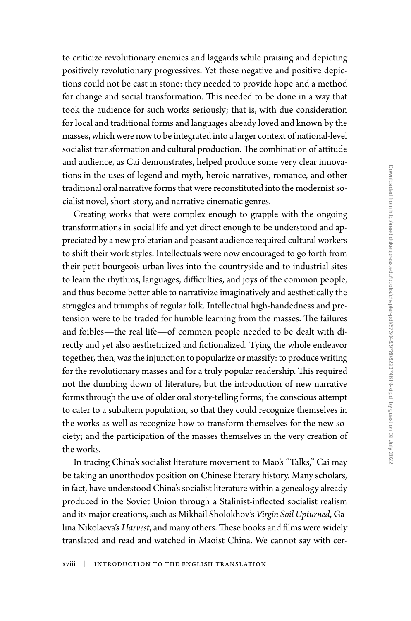to criticize revolutionary enemies and laggards while praising and depicting positively revolutionary progressives. Yet these negative and positive depictions could not be cast in stone: they needed to provide hope and a method for change and social transformation. This needed to be done in a way that took the audience for such works seriously; that is, with due consideration for local and traditional forms and languages already loved and known by the masses, which were now to be integrated into a larger context of national- level socialist transformation and cultural production. The combination of attitude and audience, as Cai demonstrates, helped produce some very clear innovations in the uses of legend and myth, heroic narratives, romance, and other traditional oral narrative forms that were reconstituted into the modernist socialist novel, short- story, and narrative cinematic genres.

Creating works that were complex enough to grapple with the ongoing transformations in social life and yet direct enough to be understood and appreciated by a new proletarian and peasant audience required cultural workers to shift their work styles. Intellectuals were now encouraged to go forth from their petit bourgeois urban lives into the countryside and to industrial sites to learn the rhythms, languages, difficulties, and joys of the common people, and thus become better able to narrativize imaginatively and aesthetically the struggles and triumphs of regular folk. Intellectual high- handedness and pretension were to be traded for humble learning from the masses. The failures and foibles—the real life—of common people needed to be dealt with directly and yet also aestheticized and fictionalized. Tying the whole endeavor together, then, was the injunction to popularize or massify: to produce writing for the revolutionary masses and for a truly popular readership. This required not the dumbing down of literature, but the introduction of new narrative forms through the use of older oral story- telling forms; the conscious attempt to cater to a subaltern population, so that they could recognize themselves in the works as well as recognize how to transform themselves for the new society; and the participation of the masses themselves in the very creation of the works.

In tracing China's socialist literature movement to Mao's "Talks," Cai may be taking an unorthodox position on Chinese literary history. Many scholars, in fact, have understood China's socialist literature within a genealogy already produced in the Soviet Union through a Stalinist-inflected socialist realism and its major creations, such as Mikhail Sholokhov's *Virgin Soil Upturned*, Galina Nikolaeva's *Harvest*, and many others. These books and films were widely translated and read and watched in Maoist China. We cannot say with cer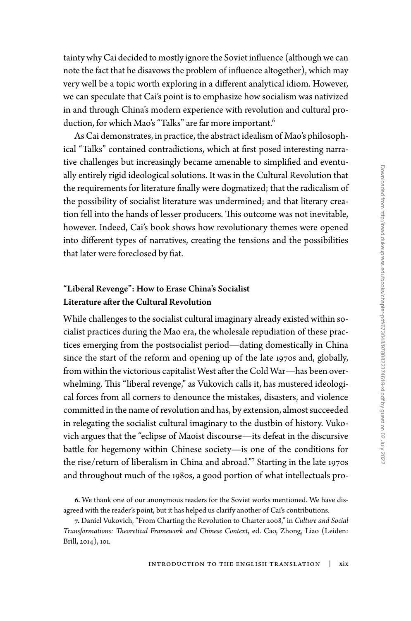tainty why Cai decided to mostly ignore the Soviet influence (although we can note the fact that he disavows the problem of influence altogether), which may very well be a topic worth exploring in a different analytical idiom. However, we can speculate that Cai's point is to emphasize how socialism was nativized in and through China's modern experience with revolution and cultural production, for which Mao's "Talks" are far more important.<sup>6</sup>

As Cai demonstrates, in practice, the abstract idealism of Mao's philosophical "Talks" contained contradictions, which at first posed interesting narrative challenges but increasingly became amenable to simplified and eventually entirely rigid ideological solutions. It was in the Cultural Revolution that the requirements for literature finally were dogmatized; that the radicalism of the possibility of socialist literature was undermined; and that literary creation fell into the hands of lesser producers. This outcome was not inevitable, however. Indeed, Cai's book shows how revolutionary themes were opened into different types of narratives, creating the tensions and the possibilities that later were foreclosed by fiat.

# "Liberal Revenge": How to Erase China's Socialist Literature after the Cultural Revolution

While challenges to the socialist cultural imaginary already existed within socialist practices during the Mao era, the wholesale repudiation of these practices emerging from the postsocialist period—dating domestically in China since the start of the reform and opening up of the late 1970s and, globally, from within the victorious capitalist West after the Cold War—has been overwhelming. This "liberal revenge," as Vukovich calls it, has mustered ideological forces from all corners to denounce the mistakes, disasters, and violence committed in the name of revolution and has, by extension, almost succeeded in relegating the socialist cultural imaginary to the dustbin of history. Vukovich argues that the "eclipse of Maoist discourse—its defeat in the discursive battle for hegemony within Chinese society—is one of the conditions for the rise/ return of liberalism in China and abroad."7 Starting in the late 1970s and throughout much of the 1980s, a good portion of what intellectuals pro-

<sup>6.</sup> We thank one of our anonymous readers for the Soviet works mentioned. We have disagreed with the reader's point, but it has helped us clarify another of Cai's contributions.

<sup>7.</sup> Daniel Vukovich, "From Charting the Revolution to Charter 2008," in *Culture and Social Transformations: Theoretical Framework and Chinese Context*, ed. Cao, Zhong, Liao (Leiden: Brill, 2014), 101.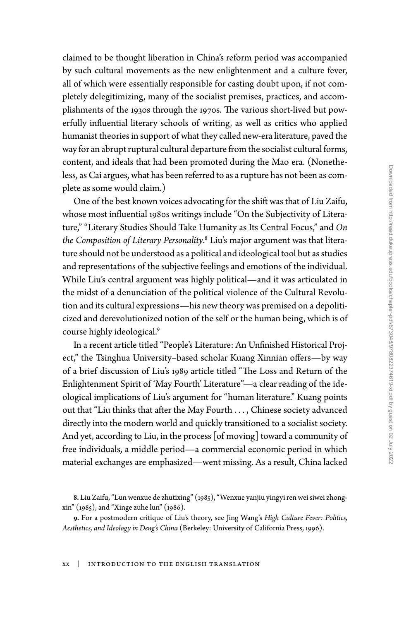claimed to be thought liberation in China's reform period was accompanied by such cultural movements as the new enlightenment and a culture fever, all of which were essentially responsible for casting doubt upon, if not completely delegitimizing, many of the socialist premises, practices, and accomplishments of the 1930s through the 1970s. The various short-lived but powerfully influential literary schools of writing, as well as critics who applied humanist theories in support of what they called new- era literature, paved the way for an abrupt ruptural cultural departure from the socialist cultural forms, content, and ideals that had been promoted during the Mao era. (Nonetheless, as Cai argues, what has been referred to as a rupture has not been as complete as some would claim.)

One of the best known voices advocating for the shift was that of Liu Zaifu, whose most influential 1980s writings include "On the Subjectivity of Literature," "Literary Studies Should Take Humanity as Its Central Focus," and *On the Composition of Literary Personality*. 8 Liu's major argument was that literature should not be understood as a political and ideological tool but as studies and representations of the subjective feelings and emotions of the individual. While Liu's central argument was highly political—and it was articulated in the midst of a denunciation of the political violence of the Cultural Revolution and its cultural expressions—his new theory was premised on a depoliticized and derevolutionized notion of the self or the human being, which is of course highly ideological.9

In a recent article titled "People's Literature: An Unfinished Historical Project," the Tsinghua University– based scholar Kuang Xinnian offers—by way of a brief discussion of Liu's 1989 article titled "The Loss and Return of the Enlightenment Spirit of 'May Fourth' Literature"—a clear reading of the ideological implications of Liu's argument for "human literature." Kuang points out that "Liu thinks that after the May Fourth . . . , Chinese society advanced directly into the modern world and quickly transitioned to a socialist society. And yet, according to Liu, in the process [of moving] toward a community of free individuals, a middle period—a commercial economic period in which material exchanges are emphasized—went missing. As a result, China lacked

<sup>8.</sup> Liu Zaifu, "Lun wenxue de zhutixing" (1985), "Wenxue yanjiu yingyi ren wei siwei zhongxin" (1985), and "Xinge zuhe lun" (1986).

<sup>9.</sup> For a postmodern critique of Liu's theory, see Jing Wang's *High Culture Fever: Politics, Aesthetics, and Ideology in Deng's China* (Berkeley: University of California Press, 1996).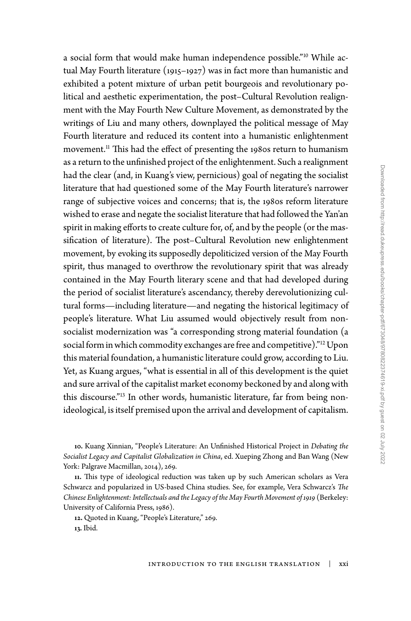a social form that would make human independence possible."10 While actual May Fourth literature (1915– 1927) was in fact more than humanistic and exhibited a potent mixture of urban petit bourgeois and revolutionary political and aesthetic experimentation, the post– Cultural Revolution realignment with the May Fourth New Culture Movement, as demonstrated by the writings of Liu and many others, downplayed the political message of May Fourth literature and reduced its content into a humanistic enlightenment movement.<sup>11</sup> This had the effect of presenting the 1980s return to humanism as a return to the unfinished project of the enlightenment. Such a realignment had the clear (and, in Kuang's view, pernicious) goal of negating the socialist literature that had questioned some of the May Fourth literature's narrower range of subjective voices and concerns; that is, the 1980s reform literature wished to erase and negate the socialist literature that had followed the Yan'an spirit in making efforts to create culture for, of, and by the people (or the massification of literature). The post-Cultural Revolution new enlightenment movement, by evoking its supposedly depoliticized version of the May Fourth spirit, thus managed to overthrow the revolutionary spirit that was already contained in the May Fourth literary scene and that had developed during the period of socialist literature's ascendancy, thereby derevolutionizing cultural forms—including literature—and negating the historical legitimacy of people's literature. What Liu assumed would objectively result from nonsocialist modernization was "a corresponding strong material foundation (a social form in which commodity exchanges are free and competitive)."12 Upon this material foundation, a humanistic literature could grow, according to Liu. Yet, as Kuang argues, "what is essential in all of this development is the quiet and sure arrival of the capitalist market economy beckoned by and along with this discourse."13 In other words, humanistic literature, far from being nonideological, is itself premised upon the arrival and development of capitalism.

10. Kuang Xinnian, "People's Literature: An Unfinished Historical Project in *Debating the Socialist Legacy and Capitalist Globalization in China*, ed. Xueping Zhong and Ban Wang (New York: Palgrave Macmillan, 2014), 269.

11. This type of ideological reduction was taken up by such American scholars as Vera Schwarcz and popularized in US- based China studies. See, for example, Vera Schwarcz's *The Chinese Enlightenment: Intellectuals and the Legacy of the May Fourth Movement of 1919* (Berkeley: University of California Press, 1986).

12. Quoted in Kuang, "People's Literature," 269.

13. Ibid.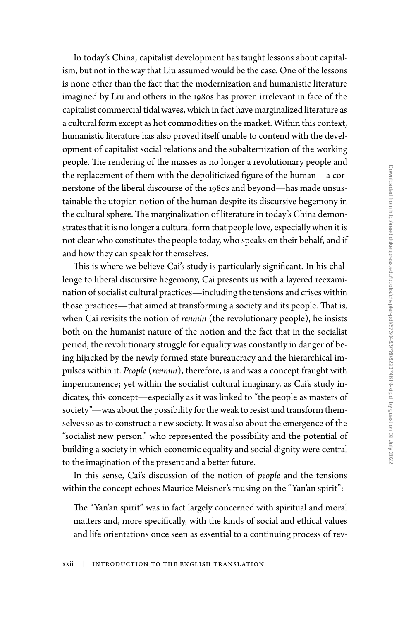In today's China, capitalist development has taught lessons about capitalism, but not in the way that Liu assumed would be the case. One of the lessons is none other than the fact that the modernization and humanistic literature imagined by Liu and others in the 1980s has proven irrelevant in face of the capitalist commercial tidal waves, which in fact have marginalized literature as a cultural form except as hot commodities on the market. Within this context, humanistic literature has also proved itself unable to contend with the development of capitalist social relations and the subalternization of the working people. The rendering of the masses as no longer a revolutionary people and the replacement of them with the depoliticized figure of the human—a cornerstone of the liberal discourse of the 1980s and beyond—has made unsustainable the utopian notion of the human despite its discursive hegemony in the cultural sphere. The marginalization of literature in today's China demonstrates that it is no longer a cultural form that people love, especially when it is not clear who constitutes the people today, who speaks on their behalf, and if and how they can speak for themselves.

This is where we believe Cai's study is particularly significant. In his challenge to liberal discursive hegemony, Cai presents us with a layered reexamination of socialist cultural practices—including the tensions and crises within those practices—that aimed at transforming a society and its people. That is, when Cai revisits the notion of *renmin* (the revolutionary people), he insists both on the humanist nature of the notion and the fact that in the socialist period, the revolutionary struggle for equality was constantly in danger of being hijacked by the newly formed state bureaucracy and the hierarchical impulses within it. *People* (*renmin*), therefore, is and was a concept fraught with impermanence; yet within the socialist cultural imaginary, as Cai's study indicates, this concept—especially as it was linked to "the people as masters of society"—was about the possibility for the weak to resist and transform themselves so as to construct a new society. It was also about the emergence of the "socialist new person," who represented the possibility and the potential of building a society in which economic equality and social dignity were central to the imagination of the present and a better future.

In this sense, Cai's discussion of the notion of *people* and the tensions within the concept echoes Maurice Meisner's musing on the "Yan'an spirit":

The "Yan'an spirit" was in fact largely concerned with spiritual and moral matters and, more specifically, with the kinds of social and ethical values and life orientations once seen as essential to a continuing process of rev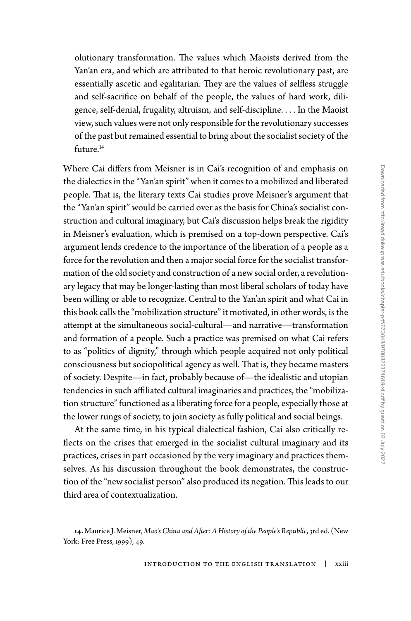olutionary transformation. The values which Maoists derived from the Yan'an era, and which are attributed to that heroic revolutionary past, are essentially ascetic and egalitarian. They are the values of selfless struggle and self- sacrifice on behalf of the people, the values of hard work, diligence, self- denial, frugality, altruism, and self- discipline. . . . In the Maoist view, such values were not only responsible for the revolutionary successes of the past but remained essential to bring about the socialist society of the future<sup>14</sup>

Where Cai differs from Meisner is in Cai's recognition of and emphasis on the dialectics in the "Yan'an spirit" when it comes to a mobilized and liberated people. That is, the literary texts Cai studies prove Meisner's argument that the "Yan'an spirit" would be carried over as the basis for China's socialist construction and cultural imaginary, but Cai's discussion helps break the rigidity in Meisner's evaluation, which is premised on a top- down perspective. Cai's argument lends credence to the importance of the liberation of a people as a force for the revolution and then a major social force for the socialist transformation of the old society and construction of a new social order, a revolutionary legacy that may be longer- lasting than most liberal scholars of today have been willing or able to recognize. Central to the Yan'an spirit and what Cai in this book calls the "mobilization structure" it motivated, in other words, is the attempt at the simultaneous social- cultural—and narrative—transformation and formation of a people. Such a practice was premised on what Cai refers to as "politics of dignity," through which people acquired not only political consciousness but sociopolitical agency as well. That is, they became masters of society. Despite—in fact, probably because of—the idealistic and utopian tendencies in such affiliated cultural imaginaries and practices, the "mobilization structure" functioned as a liberating force for a people, especially those at the lower rungs of society, to join society as fully political and social beings.

At the same time, in his typical dialectical fashion, Cai also critically reflects on the crises that emerged in the socialist cultural imaginary and its practices, crises in part occasioned by the very imaginary and practices themselves. As his discussion throughout the book demonstrates, the construction of the "new socialist person" also produced its negation. This leads to our third area of contextualization.

<sup>14.</sup> Maurice J. Meisner, *Mao's China and After: A History of the People's Republic*, 3rd ed. (New York: Free Press, 1999), 49.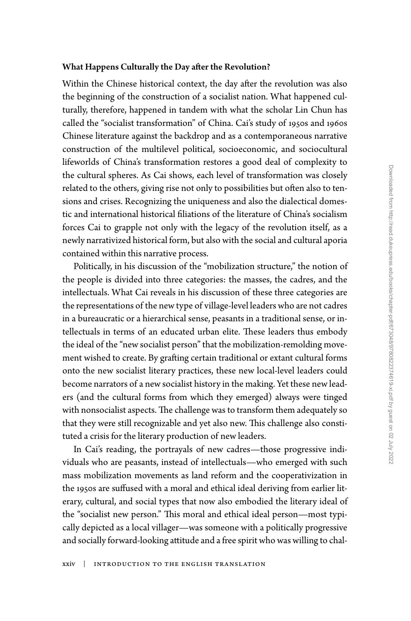#### What Happens Culturally the Day after the Revolution?

Within the Chinese historical context, the day after the revolution was also the beginning of the construction of a socialist nation. What happened culturally, therefore, happened in tandem with what the scholar Lin Chun has called the "socialist transformation" of China. Cai's study of 1950s and 1960s Chinese literature against the backdrop and as a contemporaneous narrative construction of the multilevel political, socioeconomic, and sociocultural lifeworlds of China's transformation restores a good deal of complexity to the cultural spheres. As Cai shows, each level of transformation was closely related to the others, giving rise not only to possibilities but often also to tensions and crises. Recognizing the uniqueness and also the dialectical domestic and international historical filiations of the literature of China's socialism forces Cai to grapple not only with the legacy of the revolution itself, as a newly narrativized historical form, but also with the social and cultural aporia contained within this narrative process.

Politically, in his discussion of the "mobilization structure," the notion of the people is divided into three categories: the masses, the cadres, and the intellectuals. What Cai reveals in his discussion of these three categories are the representations of the new type of village- level leaders who are not cadres in a bureaucratic or a hierarchical sense, peasants in a traditional sense, or intellectuals in terms of an educated urban elite. These leaders thus embody the ideal of the "new socialist person" that the mobilization- remolding movement wished to create. By grafting certain traditional or extant cultural forms onto the new socialist literary practices, these new local-level leaders could become narrators of a new socialist history in the making. Yet these new leaders (and the cultural forms from which they emerged) always were tinged with nonsocialist aspects. The challenge was to transform them adequately so that they were still recognizable and yet also new. This challenge also constituted a crisis for the literary production of new leaders.

In Cai's reading, the portrayals of new cadres—those progressive individuals who are peasants, instead of intellectuals—who emerged with such mass mobilization movements as land reform and the cooperativization in the 1950s are suffused with a moral and ethical ideal deriving from earlier literary, cultural, and social types that now also embodied the literary ideal of the "socialist new person." This moral and ethical ideal person—most typically depicted as a local villager—was someone with a politically progressive and socially forward- looking attitude and a free spirit who was willing to chal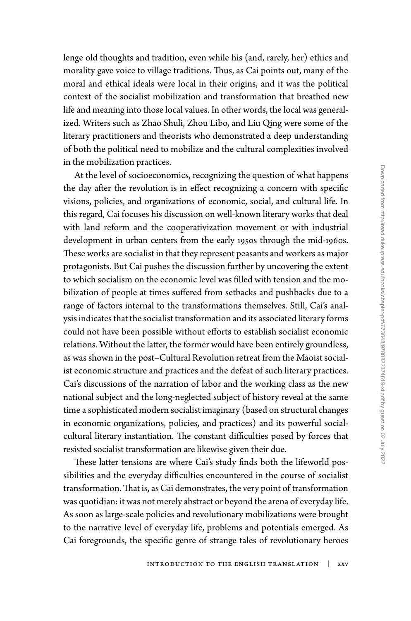lenge old thoughts and tradition, even while his (and, rarely, her) ethics and morality gave voice to village traditions. Thus, as Cai points out, many of the moral and ethical ideals were local in their origins, and it was the political context of the socialist mobilization and transformation that breathed new life and meaning into those local values. In other words, the local was generalized. Writers such as Zhao Shuli, Zhou Libo, and Liu Qing were some of the literary practitioners and theorists who demonstrated a deep understanding of both the political need to mobilize and the cultural complexities involved in the mobilization practices.

At the level of socioeconomics, recognizing the question of what happens the day after the revolution is in effect recognizing a concern with specific visions, policies, and organizations of economic, social, and cultural life. In this regard, Cai focuses his discussion on well- known literary works that deal with land reform and the cooperativization movement or with industrial development in urban centers from the early 1950s through the mid-1960s. These works are socialist in that they represent peasants and workers as major protagonists. But Cai pushes the discussion further by uncovering the extent to which socialism on the economic level was filled with tension and the mobilization of people at times suffered from setbacks and pushbacks due to a range of factors internal to the transformations themselves. Still, Cai's analysis indicates that the socialist transformation and its associated literary forms could not have been possible without efforts to establish socialist economic relations. Without the latter, the former would have been entirely groundless, as was shown in the post-Cultural Revolution retreat from the Maoist socialist economic structure and practices and the defeat of such literary practices. Cai's discussions of the narration of labor and the working class as the new national subject and the long-neglected subject of history reveal at the same time a sophisticated modern socialist imaginary (based on structural changes in economic organizations, policies, and practices) and its powerful socialcultural literary instantiation. The constant difficulties posed by forces that resisted socialist transformation are likewise given their due.

These latter tensions are where Cai's study finds both the lifeworld possibilities and the everyday difficulties encountered in the course of socialist transformation. That is, as Cai demonstrates, the very point of transformation was quotidian: it was not merely abstract or beyond the arena of everyday life. As soon as large- scale policies and revolutionary mobilizations were brought to the narrative level of everyday life, problems and potentials emerged. As Cai foregrounds, the specific genre of strange tales of revolutionary heroes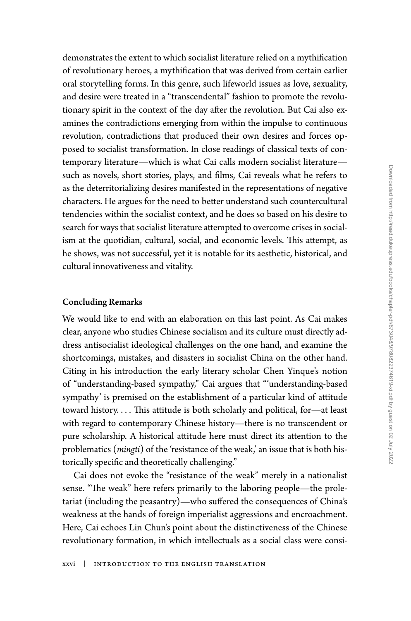demonstrates the extent to which socialist literature relied on a mythification of revolutionary heroes, a mythification that was derived from certain earlier oral storytelling forms. In this genre, such lifeworld issues as love, sexuality, and desire were treated in a "transcendental" fashion to promote the revolutionary spirit in the context of the day after the revolution. But Cai also examines the contradictions emerging from within the impulse to continuous revolution, contradictions that produced their own desires and forces opposed to socialist transformation. In close readings of classical texts of contemporary literature—which is what Cai calls modern socialist literature such as novels, short stories, plays, and films, Cai reveals what he refers to as the deterritorializing desires manifested in the representations of negative characters. He argues for the need to better understand such countercultural tendencies within the socialist context, and he does so based on his desire to search for ways that socialist literature attempted to overcome crises in socialism at the quotidian, cultural, social, and economic levels. This attempt, as he shows, was not successful, yet it is notable for its aesthetic, historical, and cultural innovativeness and vitality.

### Concluding Remarks

We would like to end with an elaboration on this last point. As Cai makes clear, anyone who studies Chinese socialism and its culture must directly address antisocialist ideological challenges on the one hand, and examine the shortcomings, mistakes, and disasters in socialist China on the other hand. Citing in his introduction the early literary scholar Chen Yinque's notion of "understanding- based sympathy," Cai argues that " 'understanding- based sympathy' is premised on the establishment of a particular kind of attitude toward history.... This attitude is both scholarly and political, for-at least with regard to contemporary Chinese history—there is no transcendent or pure scholarship. A historical attitude here must direct its attention to the problematics (*mingti*) of the 'resistance of the weak,' an issue that is both historically specific and theoretically challenging."

Cai does not evoke the "resistance of the weak" merely in a nationalist sense. "The weak" here refers primarily to the laboring people—the proletariat (including the peasantry)—who suffered the consequences of China's weakness at the hands of foreign imperialist aggressions and encroachment. Here, Cai echoes Lin Chun's point about the distinctiveness of the Chinese revolutionary formation, in which intellectuals as a social class were consi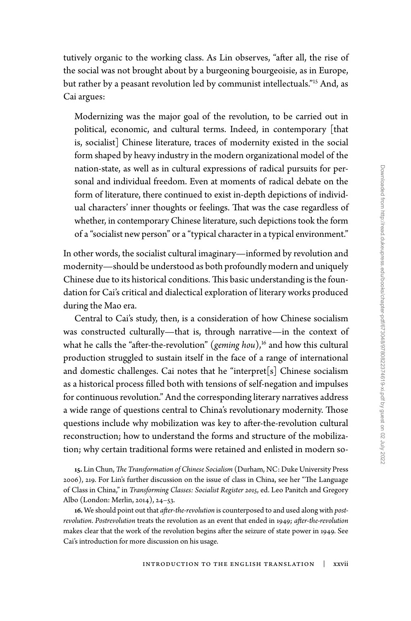tutively organic to the working class. As Lin observes, "after all, the rise of the social was not brought about by a burgeoning bourgeoisie, as in Europe, but rather by a peasant revolution led by communist intellectuals."<sup>15</sup> And, as Cai argues:

Modernizing was the major goal of the revolution, to be carried out in political, economic, and cultural terms. Indeed, in contemporary [that is, socialist] Chinese literature, traces of modernity existed in the social form shaped by heavy industry in the modern organizational model of the nation- state, as well as in cultural expressions of radical pursuits for personal and individual freedom. Even at moments of radical debate on the form of literature, there continued to exist in-depth depictions of individual characters' inner thoughts or feelings. That was the case regardless of whether, in contemporary Chinese literature, such depictions took the form of a "socialist new person" or a "typical character in a typical environment."

In other words, the socialist cultural imaginary—informed by revolution and modernity—should be understood as both profoundly modern and uniquely Chinese due to its historical conditions. This basic understanding is the foundation for Cai's critical and dialectical exploration of literary works produced during the Mao era.

Central to Cai's study, then, is a consideration of how Chinese socialism was constructed culturally—that is, through narrative—in the context of what he calls the "after-the-revolution" (*geming hou*),<sup>16</sup> and how this cultural production struggled to sustain itself in the face of a range of international and domestic challenges. Cai notes that he "interpret[s] Chinese socialism as a historical process filled both with tensions of self-negation and impulses for continuous revolution." And the corresponding literary narratives address a wide range of questions central to China's revolutionary modernity. Those questions include why mobilization was key to after- the- revolution cultural reconstruction; how to understand the forms and structure of the mobilization; why certain traditional forms were retained and enlisted in modern so-

15. Lin Chun, *The Transformation of Chinese Socialism* (Durham, NC: Duke University Press 2006), 219. For Lin's further discussion on the issue of class in China, see her "The Language of Class in China," in *Transforming Classes: Socialist Register 2015*, ed. Leo Panitch and Gregory Albo (London: Merlin, 2014), 24-53.

16. We should point out that *after- the- revolution* is counterposed to and used along with *postrevolution*. *Postrevolution* treats the revolution as an event that ended in 1949; *after- the- revolution* makes clear that the work of the revolution begins after the seizure of state power in 1949. See Cai's introduction for more discussion on his usage.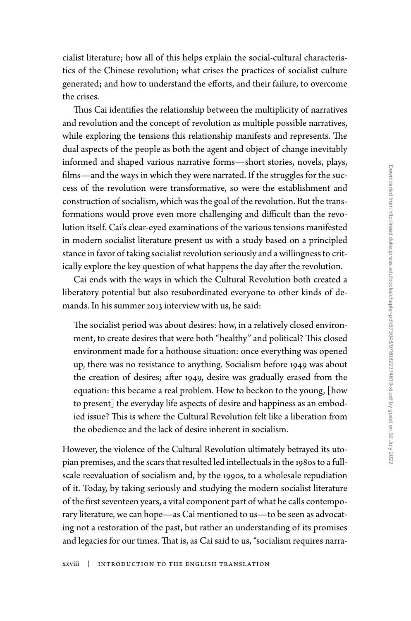cialist literature; how all of this helps explain the social- cultural characteristics of the Chinese revolution; what crises the practices of socialist culture generated; and how to understand the efforts, and their failure, to overcome the crises.

Thus Cai identifies the relationship between the multiplicity of narratives and revolution and the concept of revolution as multiple possible narratives, while exploring the tensions this relationship manifests and represents. The dual aspects of the people as both the agent and object of change inevitably informed and shaped various narrative forms—short stories, novels, plays, films—and the ways in which they were narrated. If the struggles for the success of the revolution were transformative, so were the establishment and construction of socialism, which was the goal of the revolution. But the transformations would prove even more challenging and difficult than the revolution itself. Cai's clear- eyed examinations of the various tensions manifested in modern socialist literature present us with a study based on a principled stance in favor of taking socialist revolution seriously and a willingness to critically explore the key question of what happens the day after the revolution.

Cai ends with the ways in which the Cultural Revolution both created a liberatory potential but also resubordinated everyone to other kinds of demands. In his summer 2013 interview with us, he said:

The socialist period was about desires: how, in a relatively closed environment, to create desires that were both "healthy" and political? This closed environment made for a hothouse situation: once everything was opened up, there was no resistance to anything. Socialism before 1949 was about the creation of desires; after 1949, desire was gradually erased from the equa tion: this became a real problem. How to beckon to the young, [how to present] the everyday life aspects of desire and happiness as an embodied issue? This is where the Cultural Revolution felt like a liberation from the obedience and the lack of desire inherent in socialism.

However, the violence of the Cultural Revolution ultimately betrayed its utopian premises, and the scars that resulted led intellectuals in the 1980s to a fullscale reevaluation of socialism and, by the 1990s, to a wholesale repudiation of it. Today, by taking seriously and studying the modern socialist literature of the first seventeen years, a vital component part of what he calls contemporary literature, we can hope—as Cai mentioned to us—to be seen as advocating not a restoration of the past, but rather an understanding of its promises and legacies for our times. That is, as Cai said to us, "socialism requires narra